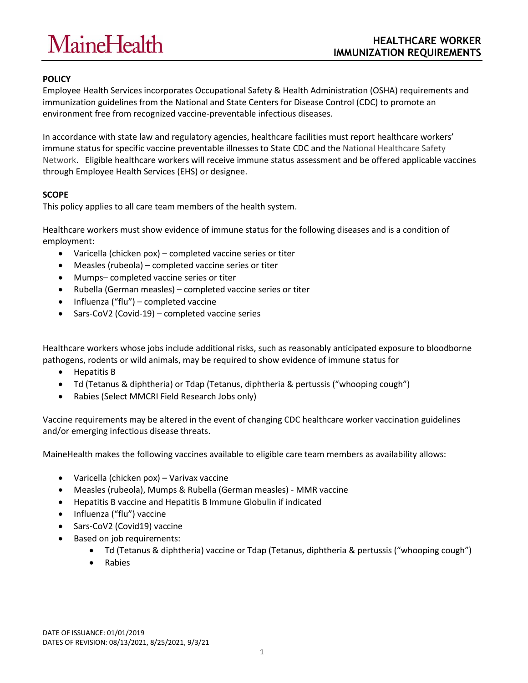# **MaineHealth**

# **POLICY**

Employee Health Services incorporates Occupational Safety & Health Administration (OSHA) requirements and immunization guidelines from the National and State Centers for Disease Control (CDC) to promote an environment free from recognized vaccine-preventable infectious diseases.

In accordance with state law and regulatory agencies, healthcare facilities must report healthcare workers' immune status for specific vaccine preventable illnesses to State CDC and the National Healthcare Safety Network. Eligible healthcare workers will receive immune status assessment and be offered applicable vaccines through Employee Health Services (EHS) or designee.

# **SCOPE**

This policy applies to all care team members of the health system.

Healthcare workers must show evidence of immune status for the following diseases and is a condition of employment:

- Varicella (chicken pox) completed vaccine series or titer
- Measles (rubeola) completed vaccine series or titer
- Mumps– completed vaccine series or titer
- Rubella (German measles) completed vaccine series or titer
- $\bullet$  Influenza ("flu") completed vaccine
- Sars-CoV2 (Covid-19) completed vaccine series

Healthcare workers whose jobs include additional risks, such as reasonably anticipated exposure to bloodborne pathogens, rodents or wild animals, may be required to show evidence of immune status for

- Hepatitis B
- Td (Tetanus & diphtheria) or Tdap (Tetanus, diphtheria & pertussis ("whooping cough")
- Rabies (Select MMCRI Field Research Jobs only)

Vaccine requirements may be altered in the event of changing CDC healthcare worker vaccination guidelines and/or emerging infectious disease threats.

MaineHealth makes the following vaccines available to eligible care team members as availability allows:

- Varicella (chicken pox) Varivax vaccine
- Measles (rubeola), Mumps & Rubella (German measles) MMR vaccine
- Hepatitis B vaccine and Hepatitis B Immune Globulin if indicated
- Influenza ("flu") vaccine
- Sars-CoV2 (Covid19) vaccine
- Based on job requirements:
	- Td (Tetanus & diphtheria) vaccine or Tdap (Tetanus, diphtheria & pertussis ("whooping cough")
	- Rabies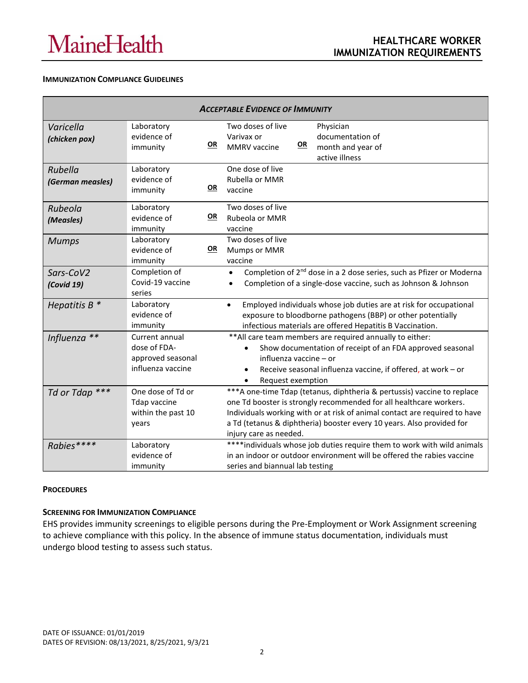#### **IMMUNIZATION COMPLIANCE GUIDELINES**

| <b>ACCEPTABLE EVIDENCE OF IMMUNITY</b> |                                                                          |           |                                                                                                                                                                                                                                                                                                                                |  |
|----------------------------------------|--------------------------------------------------------------------------|-----------|--------------------------------------------------------------------------------------------------------------------------------------------------------------------------------------------------------------------------------------------------------------------------------------------------------------------------------|--|
| Varicella<br>(chicken pox)             | Laboratory<br>evidence of<br>immunity                                    | <u>OR</u> | Two doses of live<br>Physician<br>documentation of<br>Varivax or<br><u>OR</u><br>MMRV vaccine<br>month and year of<br>active illness                                                                                                                                                                                           |  |
| Rubella<br>(German measles)            | Laboratory<br>evidence of<br>immunity                                    | OR        | One dose of live<br>Rubella or MMR<br>vaccine                                                                                                                                                                                                                                                                                  |  |
| Rubeola<br>(Measles)                   | Laboratory<br>evidence of<br>immunity                                    | <u>OR</u> | Two doses of live<br>Rubeola or MMR<br>vaccine                                                                                                                                                                                                                                                                                 |  |
| <b>Mumps</b>                           | Laboratory<br>evidence of<br>immunity                                    | <u>OR</u> | Two doses of live<br>Mumps or MMR<br>vaccine                                                                                                                                                                                                                                                                                   |  |
| Sars-CoV2<br>(Covid 19)                | Completion of<br>Covid-19 vaccine<br>series                              |           | Completion of 2 <sup>nd</sup> dose in a 2 dose series, such as Pfizer or Moderna<br>$\bullet$<br>Completion of a single-dose vaccine, such as Johnson & Johnson<br>$\bullet$                                                                                                                                                   |  |
| Hepatitis $B^*$                        | Laboratory<br>evidence of<br>immunity                                    |           | Employed individuals whose job duties are at risk for occupational<br>$\bullet$<br>exposure to bloodborne pathogens (BBP) or other potentially<br>infectious materials are offered Hepatitis B Vaccination.                                                                                                                    |  |
| Influenza **                           | Current annual<br>dose of FDA-<br>approved seasonal<br>influenza vaccine |           | ** All care team members are required annually to either:<br>Show documentation of receipt of an FDA approved seasonal<br>influenza vaccine - or<br>Receive seasonal influenza vaccine, if offered, at work - or<br>$\bullet$<br>Request exemption<br>$\bullet$                                                                |  |
| Td or Tdap <sup>***</sup>              | One dose of Td or<br><b>Tdap vaccine</b><br>within the past 10<br>years  |           | ***A one-time Tdap (tetanus, diphtheria & pertussis) vaccine to replace<br>one Td booster is strongly recommended for all healthcare workers.<br>Individuals working with or at risk of animal contact are required to have<br>a Td (tetanus & diphtheria) booster every 10 years. Also provided for<br>injury care as needed. |  |
| Rabies****                             | Laboratory<br>evidence of<br>immunity                                    |           | **** individuals whose job duties require them to work with wild animals<br>in an indoor or outdoor environment will be offered the rabies vaccine<br>series and biannual lab testing                                                                                                                                          |  |

### **PROCEDURES**

### **SCREENING FOR IMMUNIZATION COMPLIANCE**

EHS provides immunity screenings to eligible persons during the Pre-Employment or Work Assignment screening to achieve compliance with this policy. In the absence of immune status documentation, individuals must undergo blood testing to assess such status.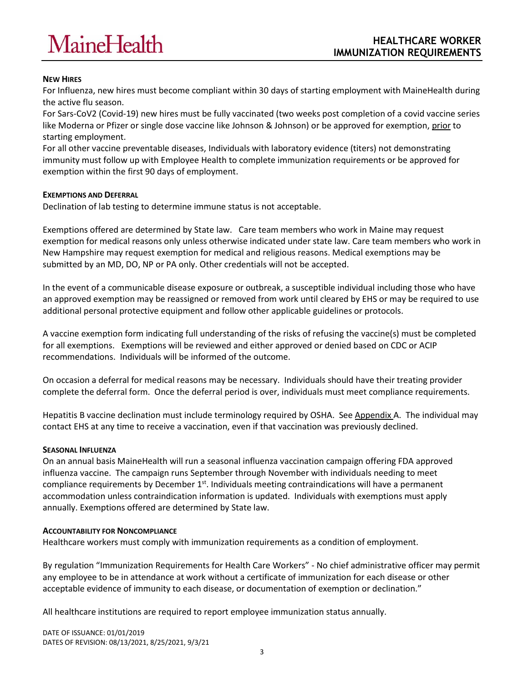# **MaineHealth**

## **NEW HIRES**

For Influenza, new hires must become compliant within 30 days of starting employment with MaineHealth during the active flu season.

For Sars-CoV2 (Covid-19) new hires must be fully vaccinated (two weeks post completion of a covid vaccine series like Moderna or Pfizer or single dose vaccine like Johnson & Johnson) or be approved for exemption, prior to starting employment.

For all other vaccine preventable diseases, Individuals with laboratory evidence (titers) not demonstrating immunity must follow up with Employee Health to complete immunization requirements or be approved for exemption within the first 90 days of employment.

### **EXEMPTIONS AND DEFERRAL**

Declination of lab testing to determine immune status is not acceptable.

Exemptions offered are determined by State law. Care team members who work in Maine may request exemption for medical reasons only unless otherwise indicated under state law. Care team members who work in New Hampshire may request exemption for medical and religious reasons. Medical exemptions may be submitted by an MD, DO, NP or PA only. Other credentials will not be accepted.

In the event of a communicable disease exposure or outbreak, a susceptible individual including those who have an approved exemption may be reassigned or removed from work until cleared by EHS or may be required to use additional personal protective equipment and follow other applicable guidelines or protocols.

A vaccine exemption form indicating full understanding of the risks of refusing the vaccine(s) must be completed for all exemptions. Exemptions will be reviewed and either approved or denied based on CDC or ACIP recommendations. Individuals will be informed of the outcome.

On occasion a deferral for medical reasons may be necessary. Individuals should have their treating provider complete the deferral form. Once the deferral period is over, individuals must meet compliance requirements.

Hepatitis B vaccine declination must include terminology required by OSHA. See Appendix A. The individual may contact EHS at any time to receive a vaccination, even if that vaccination was previously declined.

#### **SEASONAL INFLUENZA**

On an annual basis MaineHealth will run a seasonal influenza vaccination campaign offering FDA approved influenza vaccine. The campaign runs September through November with individuals needing to meet compliance requirements by December 1<sup>st</sup>. Individuals meeting contraindications will have a permanent accommodation unless contraindication information is updated. Individuals with exemptions must apply annually. Exemptions offered are determined by State law.

#### **ACCOUNTABILITY FOR NONCOMPLIANCE**

Healthcare workers must comply with immunization requirements as a condition of employment.

By regulation "Immunization Requirements for Health Care Workers" - No chief administrative officer may permit any employee to be in attendance at work without a certificate of immunization for each disease or other acceptable evidence of immunity to each disease, or documentation of exemption or declination."

All healthcare institutions are required to report employee immunization status annually.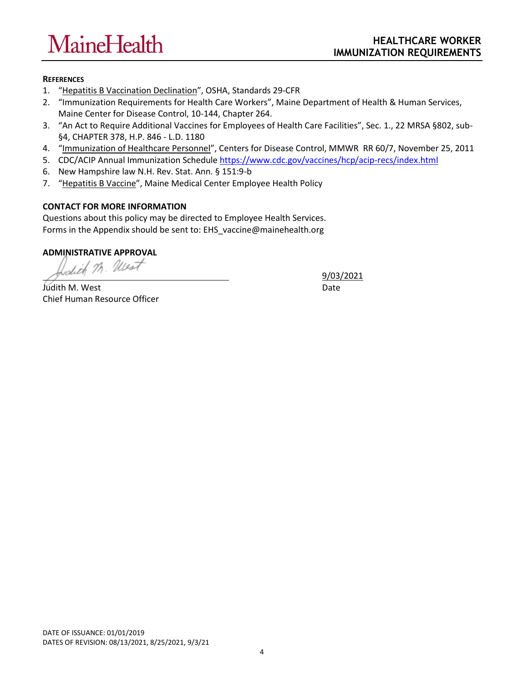# **MaineHealth**

# **REFERENCES**

- 1. "[Hepatitis B Vaccination Declination](https://www.osha.gov/pls/oshaweb/owadisp.show_document?p_table=STANDARDS&p_id=10052)", OSHA, Standards 29-CFR
- 2. "Immunization Requirements for Health Care Workers", Maine Department of Health & Human Services, Maine Center for Disease Control, 10-144, Chapter 264.
- 3. "An Act to Require Additional Vaccines for Employees of Health Care Facilities", Sec. 1., 22 MRSA §802, sub- §4, CHAPTER 378, H.P. 846 - L.D. 1180
- 4. "[Immunization of Healthcare Personnel](http://www.cdc.gov/mmwr/pdf/rr/rr6007.pdf)", Centers for Disease Control, MMWR RR 60/7, November 25, 2011
- 5. CDC/ACIP Annual Immunization Schedul[e https://www.cdc.gov/vaccines/hcp/acip-recs/index.html](https://www.cdc.gov/vaccines/hcp/acip-recs/index.html)
- 6. New Hampshire law N.H. Rev. Stat. Ann. § 151:9-b
- 7. "[Hepatitis B Vaccine](http://policy.mmc.org/CMS/mmc/production/Site_Published/policyweb/SiteSearch.aspx?s=1&searchKeyword=hepatitis+b)", Maine Medical Center Employee Health Policy

# **CONTACT FOR MORE INFORMATION**

Questions about this policy may be directed to Employee Health Services. Forms in the Appendix should be sent to[: EHS\\_vaccine@mainehealth.org](mailto:EHS_vaccine@mainehealth.org)

**ADMINISTRATIVE APPROVAL**

Judith M. West Date Chief Human Resource Officer

9/03/2021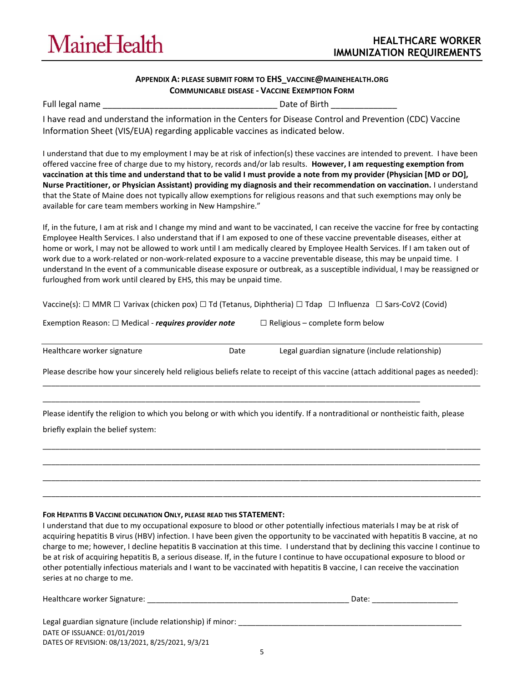

#### **APPENDIX A: PLEASE SUBMIT FORM TO EHS\_VACCINE@[MAINEHEALTH](mailto:EHS_vaccine@mainehealth.org).ORG COMMUNICABLE DISEASE - VACCINE EXEMPTION FORM**

Full legal name \_\_\_\_\_\_\_\_\_\_\_\_\_\_\_\_\_\_\_\_\_\_\_\_\_\_\_\_\_\_\_\_\_\_\_\_\_ Date of Birth \_\_\_\_\_\_\_\_\_\_\_\_\_\_

I have read and understand the information in the Centers for Disease Control and Prevention (CDC) Vaccine Information Sheet (VIS/EUA) regarding applicable vaccines as indicated below.

I understand that due to my employment I may be at risk of infection(s) these vaccines are intended to prevent. I have been offered vaccine free of charge due to my history, records and/or lab results. **However, I am requesting exemption from vaccination at this time and understand that to be valid I must provide a note from my provider (Physician [MD or DO], Nurse Practitioner, or Physician Assistant) providing my diagnosis and their recommendation on vaccination.** I understand that the State of Maine does not typically allow exemptions for religious reasons and that such exemptions may only be available for care team members working in New Hampshire."

If, in the future, I am at risk and I change my mind and want to be vaccinated, I can receive the vaccine for free by contacting Employee Health Services. I also understand that if I am exposed to one of these vaccine preventable diseases, either at home or work, I may not be allowed to work until I am medically cleared by Employee Health Services. If I am taken out of work due to a work-related or non-work-related exposure to a vaccine preventable disease, this may be unpaid time. I understand In the event of a communicable disease exposure or outbreak, as a susceptible individual, I may be reassigned or furloughed from work until cleared by EHS, this may be unpaid time.

| Vaccine(s): $\Box$ MMR $\Box$ Varivax (chicken pox) $\Box$ Td (Tetanus, Diphtheria) $\Box$ Tdap $\Box$ Influenza $\Box$ Sars-CoV2 (Covid) |  |
|-------------------------------------------------------------------------------------------------------------------------------------------|--|
|-------------------------------------------------------------------------------------------------------------------------------------------|--|

| Exemption Reason: $\Box$ Medical - requires provider note |  |
|-----------------------------------------------------------|--|
|-----------------------------------------------------------|--|

□ Religious – complete form below

signature (include relationship)

| Healthcare worker signature | Date | Legal guardian |
|-----------------------------|------|----------------|
|-----------------------------|------|----------------|

Please describe how your sincerely held religious beliefs relate to receipt of this vaccine (attach additional pages as needed): \_\_\_\_\_\_\_\_\_\_\_\_\_\_\_\_\_\_\_\_\_\_\_\_\_\_\_\_\_\_\_\_\_\_\_\_\_\_\_\_\_\_\_\_\_\_\_\_\_\_\_\_\_\_\_\_\_\_\_\_\_\_\_\_\_\_\_\_\_\_\_\_\_\_\_\_\_\_\_\_\_\_\_\_\_\_\_\_\_\_\_\_\_\_\_\_\_\_\_\_\_\_

Please identify the religion to which you belong or with which you identify. If a nontraditional or nontheistic faith, please

\_\_\_\_\_\_\_\_\_\_\_\_\_\_\_\_\_\_\_\_\_\_\_\_\_\_\_\_\_\_\_\_\_\_\_\_\_\_\_\_\_\_\_\_\_\_\_\_\_\_\_\_\_\_\_\_\_\_\_\_\_\_\_\_\_\_\_\_\_\_\_\_\_\_\_\_\_\_\_\_\_\_\_\_\_\_\_\_\_\_\_\_\_\_\_\_\_\_\_\_\_\_ \_\_\_\_\_\_\_\_\_\_\_\_\_\_\_\_\_\_\_\_\_\_\_\_\_\_\_\_\_\_\_\_\_\_\_\_\_\_\_\_\_\_\_\_\_\_\_\_\_\_\_\_\_\_\_\_\_\_\_\_\_\_\_\_\_\_\_\_\_\_\_\_\_\_\_\_\_\_\_\_\_\_\_\_\_\_\_\_\_\_\_\_\_\_\_\_\_\_\_\_\_\_ \_\_\_\_\_\_\_\_\_\_\_\_\_\_\_\_\_\_\_\_\_\_\_\_\_\_\_\_\_\_\_\_\_\_\_\_\_\_\_\_\_\_\_\_\_\_\_\_\_\_\_\_\_\_\_\_\_\_\_\_\_\_\_\_\_\_\_\_\_\_\_\_\_\_\_\_\_\_\_\_\_\_\_\_\_\_\_\_\_\_\_\_\_\_\_\_\_\_\_\_\_\_ \_\_\_\_\_\_\_\_\_\_\_\_\_\_\_\_\_\_\_\_\_\_\_\_\_\_\_\_\_\_\_\_\_\_\_\_\_\_\_\_\_\_\_\_\_\_\_\_\_\_\_\_\_\_\_\_\_\_\_\_\_\_\_\_\_\_\_\_\_\_\_\_\_\_\_\_\_\_\_\_\_\_\_\_\_\_\_\_\_\_\_\_\_\_\_\_\_\_\_\_\_\_

\_\_\_\_\_\_\_\_\_\_\_\_\_\_\_\_\_\_\_\_\_\_\_\_\_\_\_\_\_\_\_\_\_\_\_\_\_\_\_\_\_\_\_\_\_\_\_\_\_\_\_\_\_\_\_\_\_\_\_\_\_\_\_\_\_\_\_\_\_\_\_\_\_\_\_\_\_\_\_\_\_\_\_\_\_\_\_\_

briefly explain the belief system:

#### **FOR HEPATITIS B VACCINE DECLINATION ONLY, PLEASE READ THIS STATEMENT:**

I understand that due to my occupational exposure to blood or other potentially infectious materials I may be at risk of acquiring hepatitis B virus (HBV) infection. I have been given the opportunity to be vaccinated with hepatitis B vaccine, at no charge to me; however, I decline hepatitis B vaccination at this time. I understand that by declining this vaccine I continue to be at risk of acquiring hepatitis B, a serious disease. If, in the future I continue to have occupational exposure to blood or other potentially infectious materials and I want to be vaccinated with hepatitis B vaccine, I can receive the vaccination series at no charge to me.

| Dale.<br>__________<br>_____<br>_____ |
|---------------------------------------|
|                                       |
|                                       |

DATE OF ISSUANCE: 01/01/2019 DATES OF REVISION: 08/13/2021, 8/25/2021, 9/3/21 Legal guardian signature (include relationship) if minor: \_\_\_\_\_\_\_\_\_\_\_\_\_\_\_\_\_\_\_\_\_\_